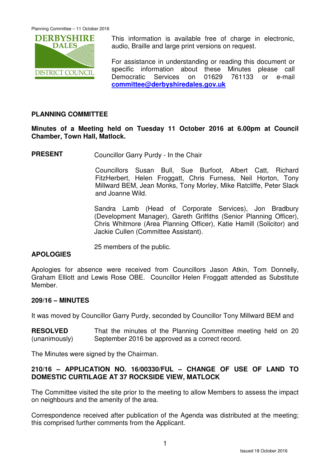

This information is available free of charge in electronic, audio, Braille and large print versions on request.

For assistance in understanding or reading this document or specific information about these Minutes please call Democratic Services on 01629 761133 or e-mail **committee@derbyshiredales.gov.uk**

# **PLANNING COMMITTEE**

**Minutes of a Meeting held on Tuesday 11 October 2016 at 6.00pm at Council Chamber, Town Hall, Matlock.** 

**PRESENT** Councillor Garry Purdy - In the Chair

 Councillors Susan Bull, Sue Burfoot, Albert Catt, Richard FitzHerbert, Helen Froggatt, Chris Furness, Neil Horton, Tony Millward BEM, Jean Monks, Tony Morley, Mike Ratcliffe, Peter Slack and Joanne Wild.

Sandra Lamb (Head of Corporate Services), Jon Bradbury (Development Manager), Gareth Griffiths (Senior Planning Officer), Chris Whitmore (Area Planning Officer), Katie Hamill (Solicitor) and Jackie Cullen (Committee Assistant).

25 members of the public.

# **APOLOGIES**

Apologies for absence were received from Councillors Jason Atkin, Tom Donnelly, Graham Elliott and Lewis Rose OBE. Councillor Helen Froggatt attended as Substitute Member.

#### **209/16 – MINUTES**

It was moved by Councillor Garry Purdy, seconded by Councillor Tony Millward BEM and

**RESOLVED** (unanimously) That the minutes of the Planning Committee meeting held on 20 September 2016 be approved as a correct record.

The Minutes were signed by the Chairman.

# **210/16 – APPLICATION NO. 16/00330/FUL – CHANGE OF USE OF LAND TO DOMESTIC CURTILAGE AT 37 ROCKSIDE VIEW, MATLOCK**

The Committee visited the site prior to the meeting to allow Members to assess the impact on neighbours and the amenity of the area.

Correspondence received after publication of the Agenda was distributed at the meeting; this comprised further comments from the Applicant.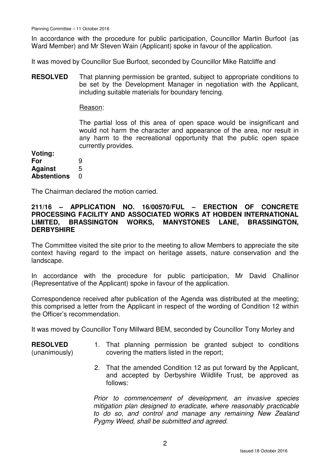In accordance with the procedure for public participation, Councillor Martin Burfoot (as Ward Member) and Mr Steven Wain (Applicant) spoke in favour of the application.

It was moved by Councillor Sue Burfoot, seconded by Councillor Mike Ratcliffe and

**RESOLVED** That planning permission be granted, subject to appropriate conditions to be set by the Development Manager in negotiation with the Applicant, including suitable materials for boundary fencing.

#### Reason:

The partial loss of this area of open space would be insignificant and would not harm the character and appearance of the area, nor result in any harm to the recreational opportunity that the public open space currently provides.

**Voting:** 

| For                | 9 |
|--------------------|---|
| <b>Against</b>     | 5 |
| <b>Abstentions</b> | O |

The Chairman declared the motion carried.

### **211/16 – APPLICATION NO. 16/00570/FUL – ERECTION OF CONCRETE PROCESSING FACILITY AND ASSOCIATED WORKS AT HOBDEN INTERNATIONAL LIMITED, BRASSINGTON WORKS, MANYSTONES LANE, BRASSINGTON, DERBYSHIRE**

The Committee visited the site prior to the meeting to allow Members to appreciate the site context having regard to the impact on heritage assets, nature conservation and the landscape.

In accordance with the procedure for public participation, Mr David Challinor (Representative of the Applicant) spoke in favour of the application.

Correspondence received after publication of the Agenda was distributed at the meeting; this comprised a letter from the Applicant in respect of the wording of Condition 12 within the Officer's recommendation.

It was moved by Councillor Tony Millward BEM, seconded by Councillor Tony Morley and

| <b>RESOLVED</b> |  | 1. That planning permission be granted subject to conditions |  |  |  |
|-----------------|--|--------------------------------------------------------------|--|--|--|
| (unanimously)   |  | covering the matters listed in the report;                   |  |  |  |

2. That the amended Condition 12 as put forward by the Applicant, and accepted by Derbyshire Wildlife Trust, be approved as follows:

Prior to commencement of development, an invasive species mitigation plan designed to eradicate, where reasonably practicable to do so, and control and manage any remaining New Zealand Pygmy Weed, shall be submitted and agreed.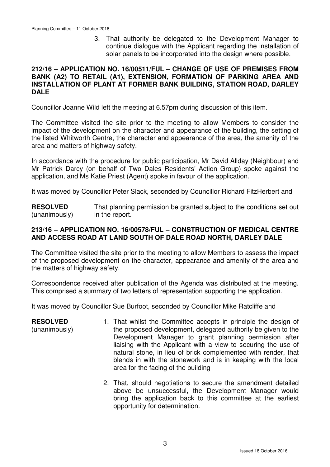3. That authority be delegated to the Development Manager to continue dialogue with the Applicant regarding the installation of solar panels to be incorporated into the design where possible.

### **212/16 – APPLICATION NO. 16/00511/FUL – CHANGE OF USE OF PREMISES FROM BANK (A2) TO RETAIL (A1), EXTENSION, FORMATION OF PARKING AREA AND INSTALLATION OF PLANT AT FORMER BANK BUILDING, STATION ROAD, DARLEY DALE**

Councillor Joanne Wild left the meeting at 6.57pm during discussion of this item.

The Committee visited the site prior to the meeting to allow Members to consider the impact of the development on the character and appearance of the building, the setting of the listed Whitworth Centre, the character and appearance of the area, the amenity of the area and matters of highway safety.

In accordance with the procedure for public participation, Mr David Allday (Neighbour) and Mr Patrick Darcy (on behalf of Two Dales Residents' Action Group) spoke against the application, and Ms Katie Priest (Agent) spoke in favour of the application.

It was moved by Councillor Peter Slack, seconded by Councillor Richard FitzHerbert and

**RESOLVED** (unanimously) That planning permission be granted subject to the conditions set out in the report.

# **213/16 – APPLICATION NO. 16/00578/FUL – CONSTRUCTION OF MEDICAL CENTRE AND ACCESS ROAD AT LAND SOUTH OF DALE ROAD NORTH, DARLEY DALE**

The Committee visited the site prior to the meeting to allow Members to assess the impact of the proposed development on the character, appearance and amenity of the area and the matters of highway safety.

Correspondence received after publication of the Agenda was distributed at the meeting. This comprised a summary of two letters of representation supporting the application.

It was moved by Councillor Sue Burfoot, seconded by Councillor Mike Ratcliffe and

| <b>RESOLVED</b> | 1. That whilst the Committee accepts in principle the design of                                      |
|-----------------|------------------------------------------------------------------------------------------------------|
| (unanimously)   | the proposed development, delegated authority be given to the                                        |
|                 | Development Manager to grant planning permission after                                               |
|                 | liaising with the Applicant with a view to securing the use of                                       |
|                 | natural stone, in lieu of brick complemented with render, that                                       |
|                 | blends in with the stonework and is in keeping with the local<br>area for the facing of the building |
|                 |                                                                                                      |

2. That, should negotiations to secure the amendment detailed above be unsuccessful, the Development Manager would bring the application back to this committee at the earliest opportunity for determination.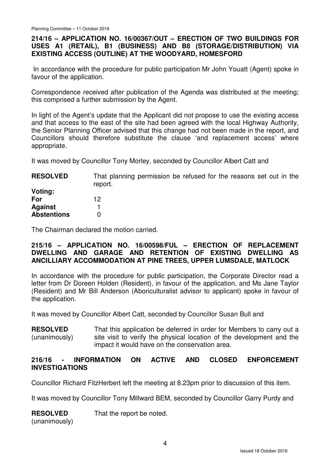# **214/16 – APPLICATION NO. 16/00367/OUT – ERECTION OF TWO BUILDINGS FOR USES A1 (RETAIL), B1 (BUSINESS) AND B8 (STORAGE/DISTRIBUTION) VIA EXISTING ACCESS (OUTLINE) AT THE WOODYARD, HOMESFORD**

In accordance with the procedure for public participation Mr John Youatt (Agent) spoke in favour of the application.

Correspondence received after publication of the Agenda was distributed at the meeting; this comprised a further submission by the Agent.

In light of the Agent's update that the Applicant did not propose to use the existing access and that access to the east of the site had been agreed with the local Highway Authority, the Senior Planning Officer advised that this change had not been made in the report, and Councillors should therefore substitute the clause 'and replacement access' where appropriate.

It was moved by Councillor Tony Morley, seconded by Councillor Albert Catt and

| <b>RESOLVED</b>    | That planning permission be refused for the reasons set out in the<br>report. |
|--------------------|-------------------------------------------------------------------------------|
| Voting:            |                                                                               |
| For                | 12                                                                            |
| <b>Against</b>     |                                                                               |
| <b>Abstentions</b> |                                                                               |

The Chairman declared the motion carried.

# **215/16 – APPLICATION NO. 16/00598/FUL – ERECTION OF REPLACEMENT DWELLING AND GARAGE AND RETENTION OF EXISTING DWELLING AS ANCILLIARY ACCOMMODATION AT PINE TREES, UPPER LUMSDALE, MATLOCK**

In accordance with the procedure for public participation, the Corporate Director read a letter from Dr Doreen Holden (Resident), in favour of the application, and Ms Jane Taylor (Resident) and Mr Bill Anderson (Aboriculturalist advisor to applicant) spoke in favour of the application.

It was moved by Councillor Albert Catt, seconded by Councillor Susan Bull and

**RESOLVED** (unanimously) That this application be deferred in order for Members to carry out a site visit to verify the physical location of the development and the impact it would have on the conservation area.

# **216/16 - INFORMATION ON ACTIVE AND CLOSED ENFORCEMENT INVESTIGATIONS**

Councillor Richard FitzHerbert left the meeting at 8.23pm prior to discussion of this item.

It was moved by Councillor Tony Millward BEM, seconded by Councillor Garry Purdy and

**RESOLVED** That the report be noted.

(unanimously)